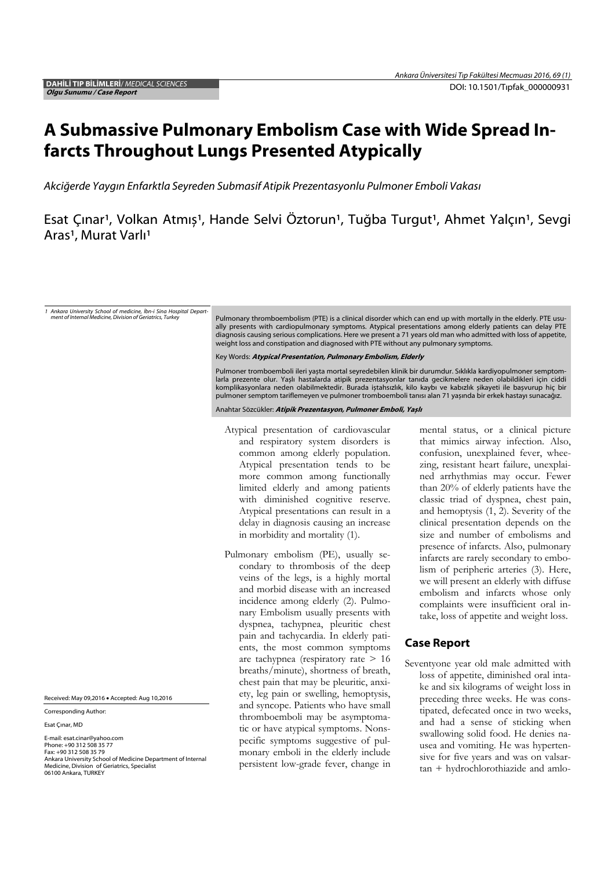## A Submassive Pulmonary Embolism Case with Wide Spread Infarcts Throughout Lungs Presented Atypically

*Akci*ğ*erde Yaygın Enfarktla Seyreden Submasif Atipik Prezentasyonlu Pulmoner Emboli Vakası*

Esat Çınar<sup>ı</sup>, Volkan Atmış<sup>1</sup>, Hande Selvi Öztorun<sup>1</sup>, Tuğba Turgut<sup>1</sup>, Ahmet Yalçın<sup>1</sup>, Sevgi Aras<sup>1</sup>, Murat Varlı<sup>1</sup>

*1 Ankara University School of medicine, İbn-i Sina Hospital Depart-*

Pulmonary thromboembolism (PTE) is a clinical disorder which can end up with mortally in the elderly. PTE usually presents with cardiopulmonary symptoms. Atypical presentations among elderly patients can delay PTE diagnosis causing serious complications. Here we present a 71 years old man who admitted with loss of appetite,<br>weight loss and constipation and diagnosed with PTE without any pulmonary symptoms.

Key Words: Atypical Presentation, Pulmonary Embolism, Elderly

Pulmoner tromboemboli ileri yașta mortal seyredebilen klinik bir durumdur. Sıklıkla kardiyopulmoner semptomlarla prezente olur. Yașlı hastalarda atipik prezentasyonlar tanıda gecikmelere neden olabildikleri için ciddi komplikasyonlara neden olabilmektedir. Burada iștahsızlık, kilo kaybı ve kabızlık șikayeti ile bașvurup hiç bir pulmoner semptom tariflemeyen ve pulmoner tromboemboli tanısı alan 71 yașında bir erkek hastayı sunacağız.

Anahtar Sözcükler: Atipik Prezentasyon, Pulmoner Emboli, Yașlı

- Atypical presentation of cardiovascular and respiratory system disorders is common among elderly population. Atypical presentation tends to be more common among functionally limited elderly and among patients with diminished cognitive reserve. Atypical presentations can result in a delay in diagnosis causing an increase in morbidity and mortality (1).
- Pulmonary embolism (PE), usually secondary to thrombosis of the deep veins of the legs, is a highly mortal and morbid disease with an increased incidence among elderly (2). Pulmonary Embolism usually presents with dyspnea, tachypnea, pleuritic chest pain and tachycardia. In elderly patients, the most common symptoms are tachypnea (respiratory rate > 16 breaths/minute), shortness of breath, chest pain that may be pleuritic, anxiety, leg pain or swelling, hemoptysis, and syncope. Patients who have small thromboemboli may be asymptomatic or have atypical symptoms. Nonspecific symptoms suggestive of pulmonary emboli in the elderly include persistent low-grade fever, change in

mental status, or a clinical picture that mimics airway infection. Also, confusion, unexplained fever, wheezing, resistant heart failure, unexplained arrhythmias may occur. Fewer than 20% of elderly patients have the classic triad of dyspnea, chest pain, and hemoptysis (1, 2). Severity of the clinical presentation depends on the size and number of embolisms and presence of infarcts. Also, pulmonary infarcts are rarely secondary to embolism of peripheric arteries (3). Here, we will present an elderly with diffuse embolism and infarcts whose only complaints were insufficient oral intake, loss of appetite and weight loss.

## Case Report

Seventyone year old male admitted with loss of appetite, diminished oral intake and six kilograms of weight loss in preceding three weeks. He was constipated, defecated once in two weeks, and had a sense of sticking when swallowing solid food. He denies nausea and vomiting. He was hypertensive for five years and was on valsartan + hydrochlorothiazide and amlo-

Received: May 09,2016 . Accepted: Aug 10,2016

Corresponding Author:

Esat Çınar, MD

E-mail: esat.cinar@yahoo.com Phone: +90 312 508 35 77 Fax: +90 312 508 35 79 Ankara University School of Medicine Department of Internal Medicine, Division of Geriatrics, Specialist 06100 Ankara, TURKEY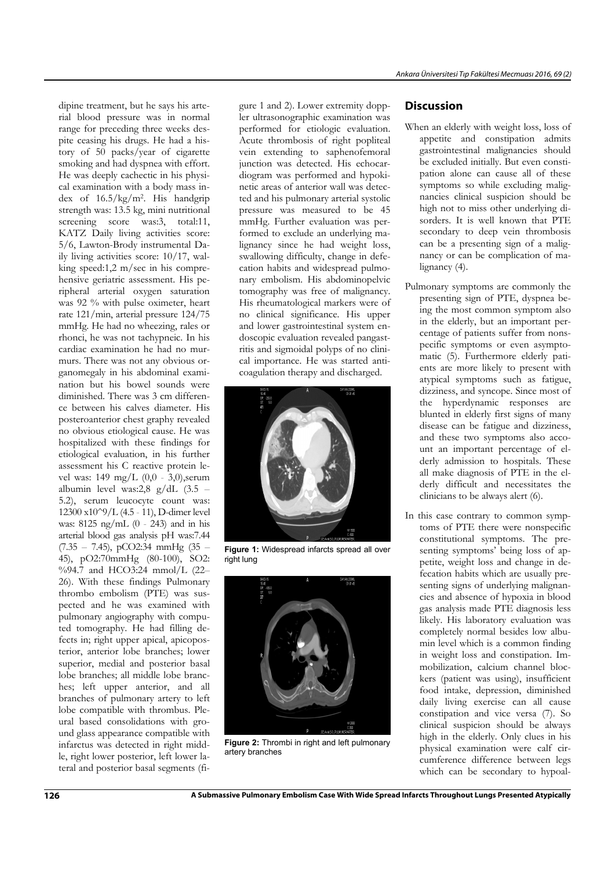dipine treatment, but he says his arterial blood pressure was in normal range for preceding three weeks despite ceasing his drugs. He had a history of 50 packs/year of cigarette smoking and had dyspnea with effort. He was deeply cachectic in his physical examination with a body mass index of 16.5/kg/m2. His handgrip strength was: 13.5 kg, mini nutritional screening score was:3, total:11, KATZ Daily living activities score: 5/6, Lawton-Brody instrumental Daily living activities score: 10/17, walking speed:1,2 m/sec in his comprehensive geriatric assessment. His peripheral arterial oxygen saturation was 92 % with pulse oximeter, heart rate 121/min, arterial pressure 124/75 mmHg. He had no wheezing, rales or rhonci, he was not tachypneic. In his cardiac examination he had no murmurs. There was not any obvious organomegaly in his abdominal examination but his bowel sounds were diminished. There was 3 cm difference between his calves diameter. His posteroanterior chest graphy revealed no obvious etiological cause. He was hospitalized with these findings for etiological evaluation, in his further assessment his C reactive protein level was: 149 mg/L (0,0 - 3,0),serum albumin level was:2,8 g/dL (3.5 – 5.2), serum leucocyte count was: 12300 x10^9/L (4.5 - 11), D-dimer level was: 8125 ng/mL (0 - 243) and in his arterial blood gas analysis pH was:7.44 (7.35 – 7.45), pCO2:34 mmHg (35 – 45), pO2:70mmHg (80-100), SO2: %94.7 and HCO3:24 mmol/L (22-26). With these findings Pulmonary thrombo embolism (PTE) was suspected and he was examined with pulmonary angiography with computed tomography. He had filling defects in; right upper apical, apicoposterior, anterior lobe branches; lower superior, medial and posterior basal lobe branches; all middle lobe branches; left upper anterior, and all branches of pulmonary artery to left lobe compatible with thrombus. Pleural based consolidations with ground glass appearance compatible with infarctus was detected in right middle, right lower posterior, left lower lateral and posterior basal segments (fi-

gure 1 and 2). Lower extremity doppler ultrasonographic examination was performed for etiologic evaluation. Acute thrombosis of right popliteal vein extending to saphenofemoral junction was detected. His echocardiogram was performed and hypokinetic areas of anterior wall was detected and his pulmonary arterial systolic pressure was measured to be 45 mmHg. Further evaluation was performed to exclude an underlying malignancy since he had weight loss, swallowing difficulty, change in defecation habits and widespread pulmonary embolism. His abdominopelvic tomography was free of malignancy. His rheumatological markers were of no clinical significance. His upper and lower gastrointestinal system endoscopic evaluation revealed pangastritis and sigmoidal polyps of no clinical importance. He was started anticoagulation therapy and discharged.



**Figure 1:** Widespread infarcts spread all over right lung



**Figure 2:** Thrombi in right and left pulmonary artery branches

## **Discussion**

- When an elderly with weight loss, loss of appetite and constipation admits gastrointestinal malignancies should be excluded initially. But even constipation alone can cause all of these symptoms so while excluding malignancies clinical suspicion should be high not to miss other underlying disorders. It is well known that PTE secondary to deep vein thrombosis can be a presenting sign of a malignancy or can be complication of malignancy (4).
- Pulmonary symptoms are commonly the presenting sign of PTE, dyspnea being the most common symptom also in the elderly, but an important percentage of patients suffer from nonspecific symptoms or even asymptomatic (5). Furthermore elderly patients are more likely to present with atypical symptoms such as fatigue, dizziness, and syncope. Since most of the hyperdynamic responses are blunted in elderly first signs of many disease can be fatigue and dizziness, and these two symptoms also account an important percentage of elderly admission to hospitals. These all make diagnosis of PTE in the elderly difficult and necessitates the clinicians to be always alert (6).
- In this case contrary to common symptoms of PTE there were nonspecific constitutional symptoms. The presenting symptoms' being loss of appetite, weight loss and change in defecation habits which are usually presenting signs of underlying malignancies and absence of hypoxia in blood gas analysis made PTE diagnosis less likely. His laboratory evaluation was completely normal besides low albumin level which is a common finding in weight loss and constipation. Immobilization, calcium channel blockers (patient was using), insufficient food intake, depression, diminished daily living exercise can all cause constipation and vice versa (7). So clinical suspicion should be always high in the elderly. Only clues in his physical examination were calf circumference difference between legs which can be secondary to hypoal-